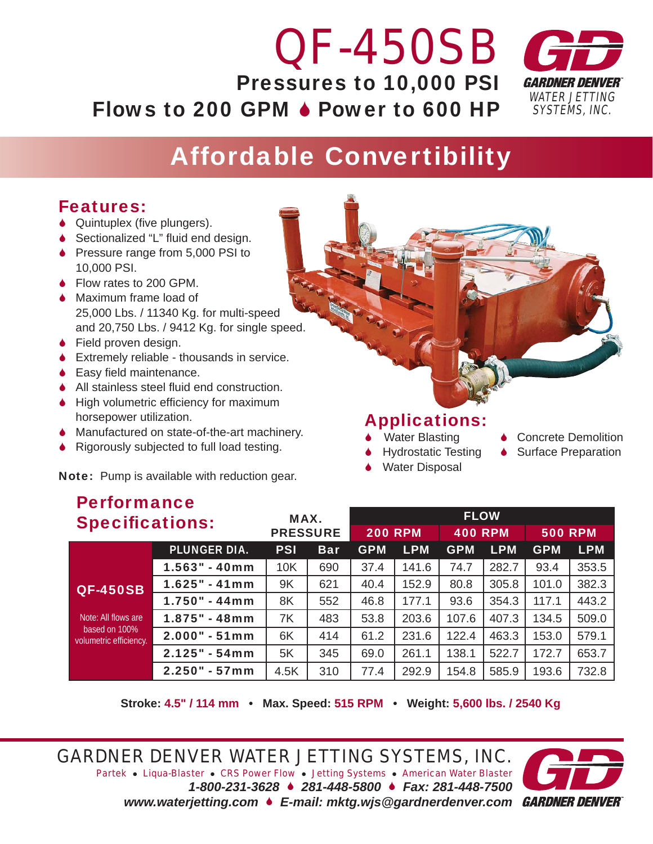# *QF-450SB* Pressures to 10,000 PSI Flows to 200 GPM  $\bullet$  Power to 600 HP



## Affordable Convertibility

#### Features:

- $\bullet$  Quintuplex (five plungers).
- $\bullet$  Sectionalized "L" fluid end design.
- ◆ Pressure range from 5,000 PSI to 10,000 PSI.
- ◆ Flow rates to 200 GPM.
- **■** Maximum frame load of 25,000 Lbs. / 11340 Kg. for multi-speed and 20,750 Lbs. / 9412 Kg. for single speed.
- ◆ Field proven design.
- 6 Extremely reliable thousands in service.
- $\bullet$  Easy field maintenance.

**Performance** 

- $\blacklozenge$  All stainless steel fluid end construction.
- $\blacklozenge$  High volumetric efficiency for maximum horsepower utilization.
- 6 Manufactured on state-of-the-art machinery.
- ♦ Rigorously subjected to full load testing.

Note: Pump is available with reduction gear.

### Applications:

- Water Blasting Concrete Demolition
	- Hydrostatic Testing  $\bullet$  Surface Preparation
- Water Disposal

| <b>Specifications:</b>                                                            |                     | MAX.<br><b>PRESSURE</b> |            | <b>FLOW</b>    |            |                |            |                |            |
|-----------------------------------------------------------------------------------|---------------------|-------------------------|------------|----------------|------------|----------------|------------|----------------|------------|
|                                                                                   |                     |                         |            | <b>200 RPM</b> |            | <b>400 RPM</b> |            | <b>500 RPM</b> |            |
|                                                                                   | <b>PLUNGER DIA.</b> | <b>PSI</b>              | <b>Bar</b> | <b>GPM</b>     | <b>LPM</b> | <b>GPM</b>     | <b>LPM</b> | <b>GPM</b>     | <b>LPM</b> |
| <b>QF-450SB</b><br>Note: All flows are<br>based on 100%<br>volumetric efficiency. | $1.563" - 40mm$     | 10K                     | 690        | 37.4           | 141.6      | 74.7           | 282.7      | 93.4           | 353.5      |
|                                                                                   | $1.625" - 41mm$     | 9K                      | 621        | 40.4           | 152.9      | 80.8           | 305.8      | 101.0          | 382.3      |
|                                                                                   | $1.750" - 44mm$     | 8K                      | 552        | 46.8           | 177.1      | 93.6           | 354.3      | 117.1          | 443.2      |
|                                                                                   | $1.875" - 48mm$     | 7K                      | 483        | 53.8           | 203.6      | 107.6          | 407.3      | 134.5          | 509.0      |
|                                                                                   | $2.000" - 51mm$     | 6K                      | 414        | 61.2           | 231.6      | 122.4          | 463.3      | 153.0          | 579.1      |
|                                                                                   | $2.125" - 54mm$     | 5K                      | 345        | 69.0           | 261.1      | 138.1          | 522.7      | 172.7          | 653.7      |
|                                                                                   | 2.250" - 57mm       | 4.5K                    | 310        | 77.4           | 292.9      | 154.8          | 585.9      | 193.6          | 732.8      |

**Stroke: 4.5" / 114 mm • Max. Speed: 515 RPM • Weight: 5,600 lbs. / 2540 Kg**

*GARDNER DENVER WATER JETTING SYSTEMS, INC. Partek* z *Liqua-Blaster* z *CRS Power Flow* z *Jetting Systems* z *American Water Blaster 1-800-231-3628* 6 *281-448-5800* 6 *Fax: 281-448-7500 www.waterjetting.com* 6 *E-mail: mktg.wjs@gardnerdenver.com*